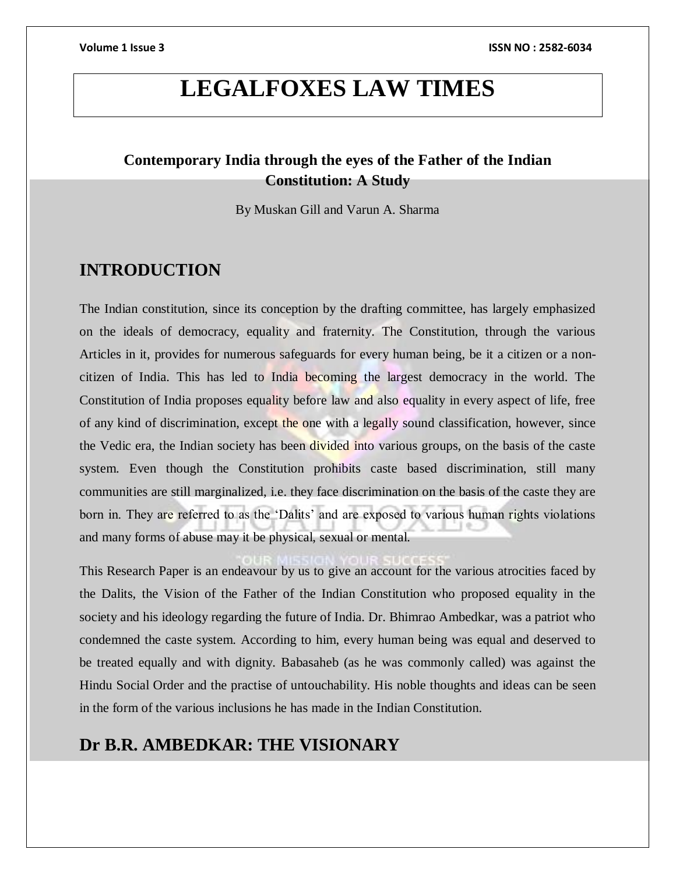# **LEGALFOXES LAW TIMES**

## **Contemporary India through the eyes of the Father of the Indian Constitution: A Study**

By Muskan Gill and Varun A. Sharma

## **INTRODUCTION**

The Indian constitution, since its conception by the drafting committee, has largely emphasized on the ideals of democracy, equality and fraternity. The Constitution, through the various Articles in it, provides for numerous safeguards for every human being, be it a citizen or a noncitizen of India. This has led to India becoming the largest democracy in the world. The Constitution of India proposes equality before law and also equality in every aspect of life, free of any kind of discrimination, except the one with a legally sound classification, however, since the Vedic era, the Indian society has been divided into various groups, on the basis of the caste system. Even though the Constitution prohibits caste based discrimination, still many communities are still marginalized, i.e. they face discrimination on the basis of the caste they are born in. They are referred to as the 'Dalits' and are exposed to various human rights violations and many forms of abuse may it be physical, sexual or mental.

This Research Paper is an endeavour by us to give an account for the various atrocities faced by the Dalits, the Vision of the Father of the Indian Constitution who proposed equality in the society and his ideology regarding the future of India. Dr. Bhimrao Ambedkar, was a patriot who condemned the caste system. According to him, every human being was equal and deserved to be treated equally and with dignity. Babasaheb (as he was commonly called) was against the Hindu Social Order and the practise of untouchability. His noble thoughts and ideas can be seen in the form of the various inclusions he has made in the Indian Constitution.

## **Dr B.R. AMBEDKAR: THE VISIONARY**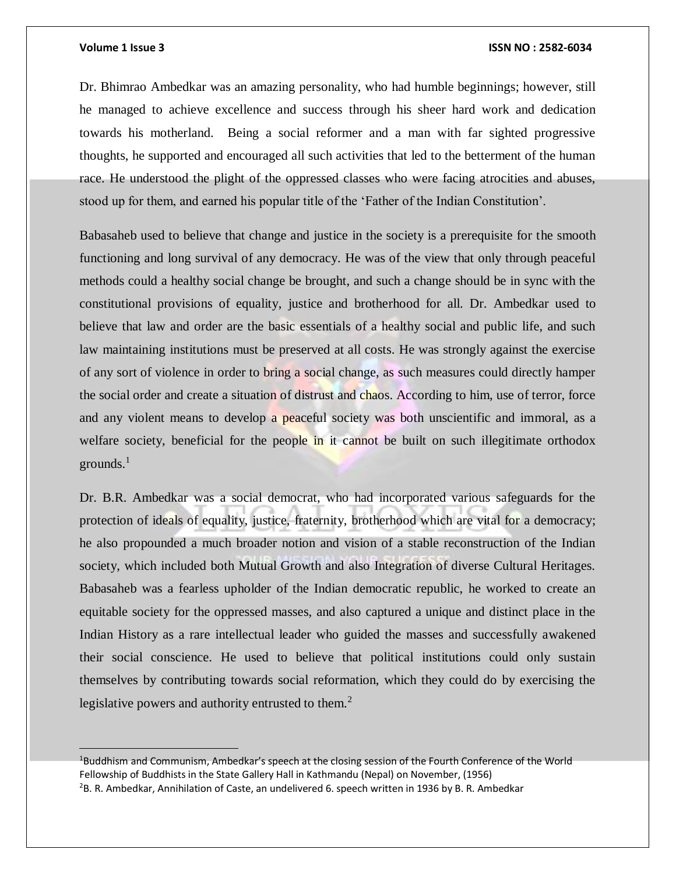### **Volume 1 Issue 3 ISSN NO : 2582-6034**

Dr. Bhimrao Ambedkar was an amazing personality, who had humble beginnings; however, still he managed to achieve excellence and success through his sheer hard work and dedication towards his motherland. Being a social reformer and a man with far sighted progressive thoughts, he supported and encouraged all such activities that led to the betterment of the human race. He understood the plight of the oppressed classes who were facing atrocities and abuses, stood up for them, and earned his popular title of the 'Father of the Indian Constitution'.

Babasaheb used to believe that change and justice in the society is a prerequisite for the smooth functioning and long survival of any democracy. He was of the view that only through peaceful methods could a healthy social change be brought, and such a change should be in sync with the constitutional provisions of equality, justice and brotherhood for all. Dr. Ambedkar used to believe that law and order are the basic essentials of a healthy social and public life, and such law maintaining institutions must be preserved at all costs. He was strongly against the exercise of any sort of violence in order to bring a social change, as such measures could directly hamper the social order and create a situation of distrust and chaos. According to him, use of terror, force and any violent means to develop a peaceful society was both unscientific and immoral, as a welfare society, beneficial for the people in it cannot be built on such illegitimate orthodox grounds. $<sup>1</sup>$ </sup>

Dr. B.R. Ambedkar was a social democrat, who had incorporated various safeguards for the protection of ideals of equality, justice, fraternity, brotherhood which are vital for a democracy; he also propounded a much broader notion and vision of a stable reconstruction of the Indian society, which included both Mutual Growth and also Integration of diverse Cultural Heritages. Babasaheb was a fearless upholder of the Indian democratic republic, he worked to create an equitable society for the oppressed masses, and also captured a unique and distinct place in the Indian History as a rare intellectual leader who guided the masses and successfully awakened their social conscience. He used to believe that political institutions could only sustain themselves by contributing towards social reformation, which they could do by exercising the legislative powers and authority entrusted to them.<sup>2</sup>

<sup>&</sup>lt;sup>1</sup>Buddhism and Communism, Ambedkar's speech at the closing session of the Fourth Conference of the World Fellowship of Buddhists in the State Gallery Hall in Kathmandu (Nepal) on November, (1956)

<sup>&</sup>lt;sup>2</sup>B. R. Ambedkar, Annihilation of Caste, an undelivered 6. speech written in 1936 by B. R. Ambedkar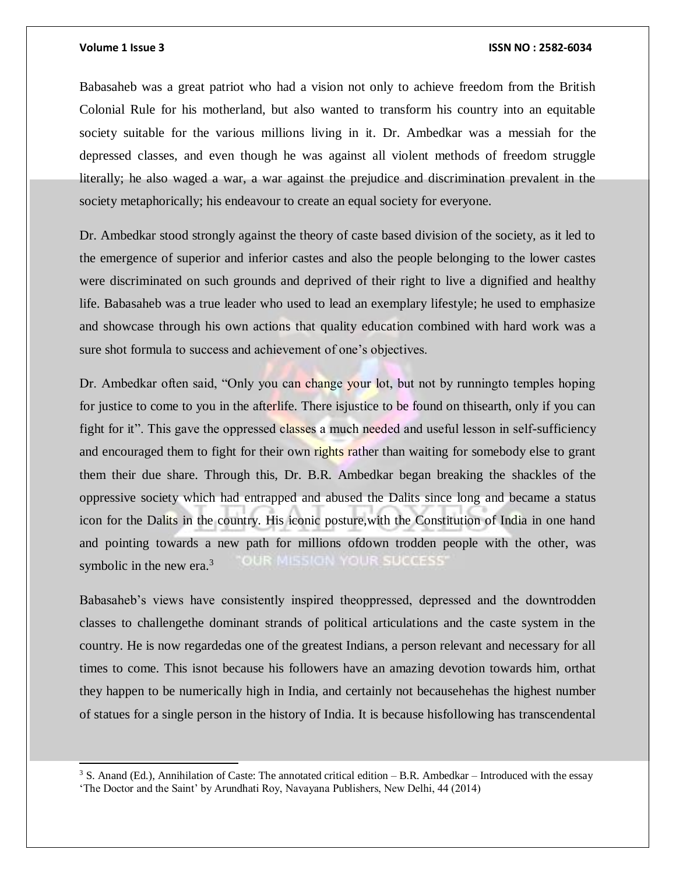l

### **Volume 1 Issue 3 ISSN NO : 2582-6034**

Babasaheb was a great patriot who had a vision not only to achieve freedom from the British Colonial Rule for his motherland, but also wanted to transform his country into an equitable society suitable for the various millions living in it. Dr. Ambedkar was a messiah for the depressed classes, and even though he was against all violent methods of freedom struggle literally; he also waged a war, a war against the prejudice and discrimination prevalent in the society metaphorically; his endeavour to create an equal society for everyone.

Dr. Ambedkar stood strongly against the theory of caste based division of the society, as it led to the emergence of superior and inferior castes and also the people belonging to the lower castes were discriminated on such grounds and deprived of their right to live a dignified and healthy life. Babasaheb was a true leader who used to lead an exemplary lifestyle; he used to emphasize and showcase through his own actions that quality education combined with hard work was a sure shot formula to success and achievement of one's objectives.

Dr. Ambedkar often said, "Only you can change your lot, but not by runningto temples hoping for justice to come to you in the afterlife. There isjustice to be found on thisearth, only if you can fight for it". This gave the oppressed classes a much needed and useful lesson in self-sufficiency and encouraged them to fight for their own rights rather than waiting for somebody else to grant them their due share. Through this, Dr. B.R. Ambedkar began breaking the shackles of the oppressive society which had entrapped and abused the Dalits since long and became a status icon for the Dalits in the country. His iconic posture,with the Constitution of India in one hand and pointing towards a new path for millions ofdown trodden people with the other, was OUR MISSION YOUR SUCCESS' symbolic in the new era.<sup>3</sup>

Babasaheb's views have consistently inspired theoppressed, depressed and the downtrodden classes to challengethe dominant strands of political articulations and the caste system in the country. He is now regardedas one of the greatest Indians, a person relevant and necessary for all times to come. This isnot because his followers have an amazing devotion towards him, orthat they happen to be numerically high in India, and certainly not becausehehas the highest number of statues for a single person in the history of India. It is because hisfollowing has transcendental

 $3$  S. Anand (Ed.), Annihilation of Caste: The annotated critical edition  $-$  B.R. Ambedkar – Introduced with the essay 'The Doctor and the Saint' by Arundhati Roy, Navayana Publishers, New Delhi, 44 (2014)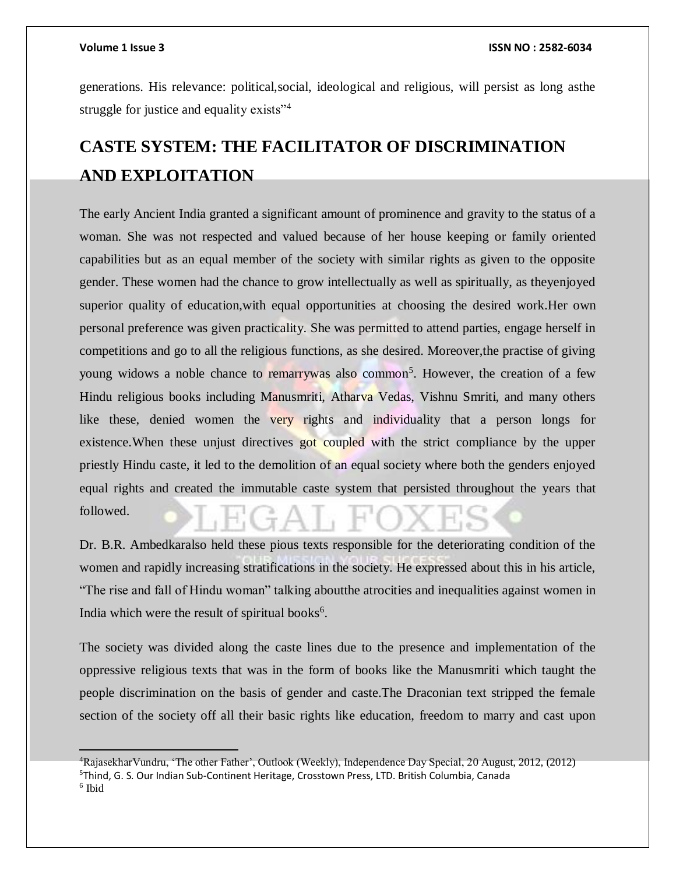generations. His relevance: political,social, ideological and religious, will persist as long asthe struggle for justice and equality exists"<sup>4</sup>

# **CASTE SYSTEM: THE FACILITATOR OF DISCRIMINATION AND EXPLOITATION**

The early Ancient India granted a significant amount of prominence and gravity to the status of a woman. She was not respected and valued because of her house keeping or family oriented capabilities but as an equal member of the society with similar rights as given to the opposite gender. These women had the chance to grow intellectually as well as spiritually, as theyenjoyed superior quality of education,with equal opportunities at choosing the desired work.Her own personal preference was given practicality. She was permitted to attend parties, engage herself in competitions and go to all the religious functions, as she desired. Moreover,the practise of giving young widows a noble chance to remarrywas also common<sup>5</sup>. However, the creation of a few Hindu religious books including Manusmriti, Atharva Vedas, Vishnu Smriti, and many others like these, denied women the very rights and individuality that a person longs for existence. When these unjust directives got coupled with the strict compliance by the upper priestly Hindu caste, it led to the demolition of an equal society where both the genders enjoyed equal rights and created the immutable caste system that persisted throughout the years that followed.

Dr. B.R. Ambedkaralso held these pious texts responsible for the deteriorating condition of the women and rapidly increasing stratifications in the society. He expressed about this in his article, "The rise and fall of Hindu woman" talking aboutthe atrocities and inequalities against women in India which were the result of spiritual books<sup>6</sup>.

The society was divided along the caste lines due to the presence and implementation of the oppressive religious texts that was in the form of books like the Manusmriti which taught the people discrimination on the basis of gender and caste.The Draconian text stripped the female section of the society off all their basic rights like education, freedom to marry and cast upon

<sup>4</sup>RajasekharVundru, 'The other Father', Outlook (Weekly), Independence Day Special, 20 August, 2012, (2012) <sup>5</sup>Thind, G. S. Our Indian Sub-Continent Heritage, Crosstown Press, LTD. British Columbia, Canada 6 Ibid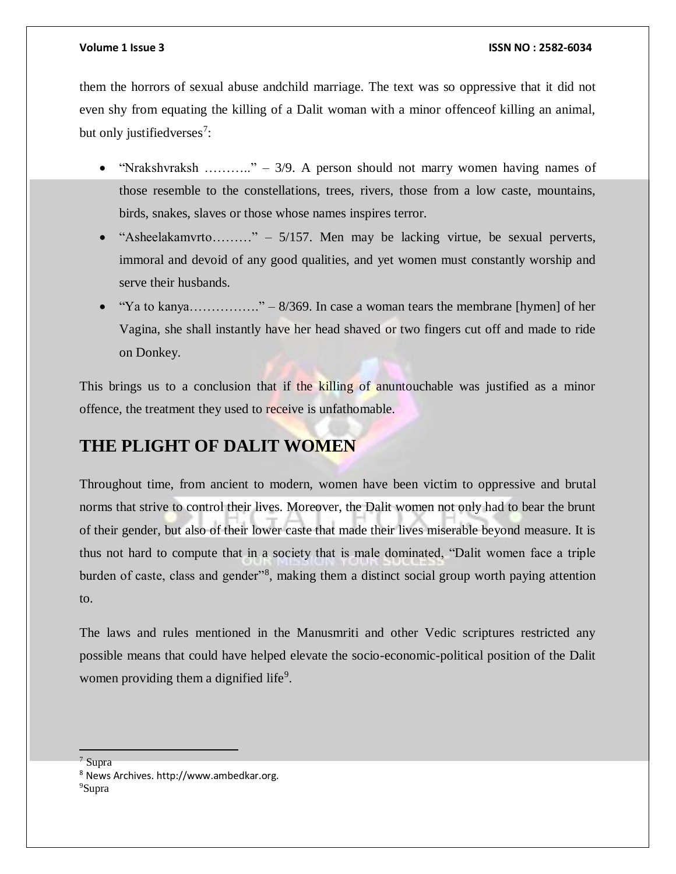them the horrors of sexual abuse andchild marriage. The text was so oppressive that it did not even shy from equating the killing of a Dalit woman with a minor offenceof killing an animal, but only justifiedverses<sup>7</sup>:

- "Nrakshvraksh ..........." 3/9. A person should not marry women having names of those resemble to the constellations, trees, rivers, those from a low caste, mountains, birds, snakes, slaves or those whose names inspires terror.
- "Asheelakamvrto………" 5/157. Men may be lacking virtue, be sexual perverts, immoral and devoid of any good qualities, and yet women must constantly worship and serve their husbands.
- "Ya to kanya………….."  $8/369$ . In case a woman tears the membrane [hymen] of her Vagina, she shall instantly have her head shaved or two fingers cut off and made to ride on Donkey.

This brings us to a conclusion that if the killing of anuntouchable was justified as a minor offence, the treatment they used to receive is unfathomable.

## **THE PLIGHT OF DALIT WOMEN**

Throughout time, from ancient to modern, women have been victim to oppressive and brutal norms that strive to control their lives. Moreover, the Dalit women not only had to bear the brunt of their gender, but also of their lower caste that made their lives miserable beyond measure. It is thus not hard to compute that in a society that is male dominated, "Dalit women face a triple burden of caste, class and gender"<sup>8</sup>, making them a distinct social group worth paying attention to.

The laws and rules mentioned in the Manusmriti and other Vedic scriptures restricted any possible means that could have helped elevate the socio-economic-political position of the Dalit women providing them a dignified life<sup>9</sup>.

<sup>7</sup> Supra

<sup>8</sup> News Archives. http://www.ambedkar.org. 9Supra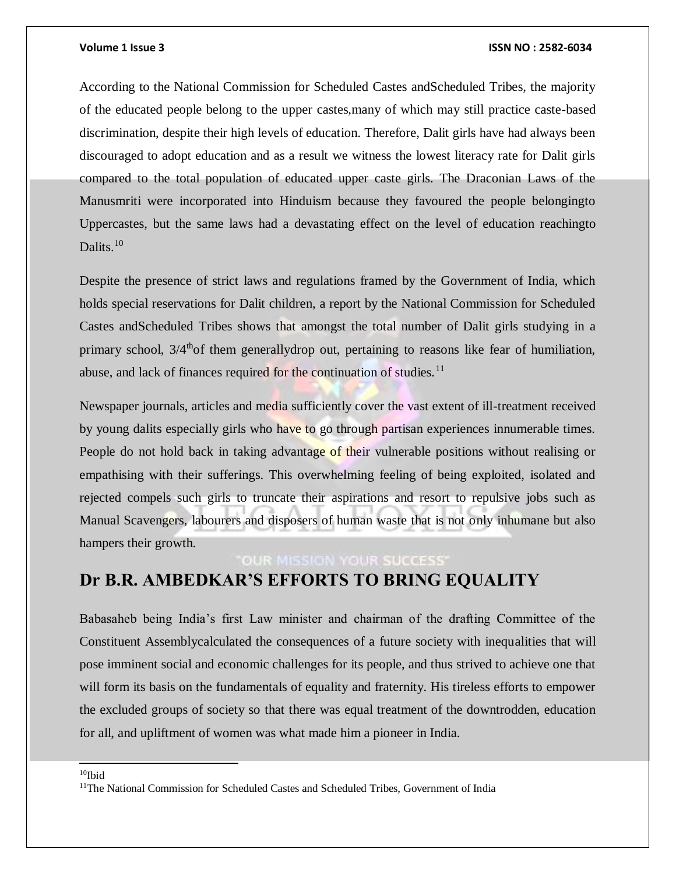According to the National Commission for Scheduled Castes andScheduled Tribes, the majority of the educated people belong to the upper castes,many of which may still practice caste-based discrimination, despite their high levels of education. Therefore, Dalit girls have had always been discouraged to adopt education and as a result we witness the lowest literacy rate for Dalit girls compared to the total population of educated upper caste girls. The Draconian Laws of the Manusmriti were incorporated into Hinduism because they favoured the people belongingto Uppercastes, but the same laws had a devastating effect on the level of education reachingto Dalits.<sup>10</sup>

Despite the presence of strict laws and regulations framed by the Government of India, which holds special reservations for Dalit children, a report by the National Commission for Scheduled Castes andScheduled Tribes shows that amongst the total number of Dalit girls studying in a primary school,  $3/4<sup>th</sup>$  of them generallydrop out, pertaining to reasons like fear of humiliation, abuse, and lack of finances required for the continuation of studies.<sup>11</sup>

Newspaper journals, articles and media sufficiently cover the vast extent of ill-treatment received by young dalits especially girls who have to go through partisan experiences innumerable times. People do not hold back in taking advantage of their vulnerable positions without realising or empathising with their sufferings. This overwhelming feeling of being exploited, isolated and rejected compels such girls to truncate their aspirations and resort to repulsive jobs such as Manual Scavengers, labourers and disposers of human waste that is not only inhumane but also hampers their growth.

## **OUR MISSION YOUR SUCCESS' Dr B.R. AMBEDKAR'S EFFORTS TO BRING EQUALITY**

Babasaheb being India's first Law minister and chairman of the drafting Committee of the Constituent Assemblycalculated the consequences of a future society with inequalities that will pose imminent social and economic challenges for its people, and thus strived to achieve one that will form its basis on the fundamentals of equality and fraternity. His tireless efforts to empower the excluded groups of society so that there was equal treatment of the downtrodden, education for all, and upliftment of women was what made him a pioneer in India.

 $10$ Ibid

l

<sup>&</sup>lt;sup>11</sup>The National Commission for Scheduled Castes and Scheduled Tribes, Government of India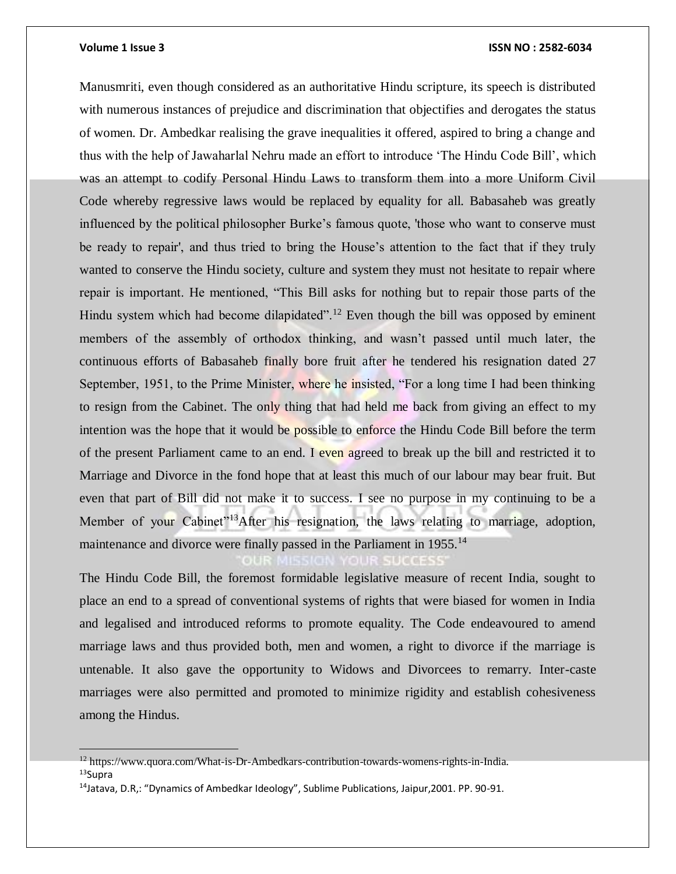## **Volume 1 Issue 3 ISSN NO : 2582-6034**

Manusmriti, even though considered as an authoritative Hindu scripture, its speech is distributed with numerous instances of prejudice and discrimination that objectifies and derogates the status of women. Dr. Ambedkar realising the grave inequalities it offered, aspired to bring a change and thus with the help of Jawaharlal Nehru made an effort to introduce 'The Hindu Code Bill', which was an attempt to codify Personal Hindu Laws to transform them into a more Uniform Civil Code whereby regressive laws would be replaced by equality for all. Babasaheb was greatly influenced by the political philosopher Burke's famous quote, 'those who want to conserve must be ready to repair', and thus tried to bring the House's attention to the fact that if they truly wanted to conserve the Hindu society, culture and system they must not hesitate to repair where repair is important. He mentioned, "This Bill asks for nothing but to repair those parts of the Hindu system which had become dilapidated".<sup>12</sup> Even though the bill was opposed by eminent members of the assembly of orthodox thinking, and wasn't passed until much later, the continuous efforts of Babasaheb finally bore fruit after he tendered his resignation dated 27 September, 1951, to the Prime Minister, where he insisted, "For a long time I had been thinking to resign from the Cabinet. The only thing that had held me back from giving an effect to my intention was the hope that it would be possible to enforce the Hindu Code Bill before the term of the present Parliament came to an end. I even agreed to break up the bill and restricted it to Marriage and Divorce in the fond hope that at least this much of our labour may bear fruit. But even that part of Bill did not make it to success. I see no purpose in my continuing to be a Member of your Cabinet<sup>"13</sup>After his resignation, the laws relating to marriage, adoption, maintenance and divorce were finally passed in the Parliament in 1955.<sup>14</sup>

The Hindu Code Bill, the foremost formidable legislative measure of recent India, sought to place an end to a spread of conventional systems of rights that were biased for women in India and legalised and introduced reforms to promote equality. The Code endeavoured to amend marriage laws and thus provided both, men and women, a right to divorce if the marriage is untenable. It also gave the opportunity to Widows and Divorcees to remarry. Inter-caste marriages were also permitted and promoted to minimize rigidity and establish cohesiveness among the Hindus.

<sup>&</sup>lt;sup>12</sup> https://www.quora.com/What-is-Dr-Ambedkars-contribution-towards-womens-rights-in-India. <sup>13</sup>Supra

<sup>&</sup>lt;sup>14</sup>Jatava, D.R.: "Dynamics of Ambedkar Ideology", Sublime Publications, Jaipur, 2001. PP. 90-91.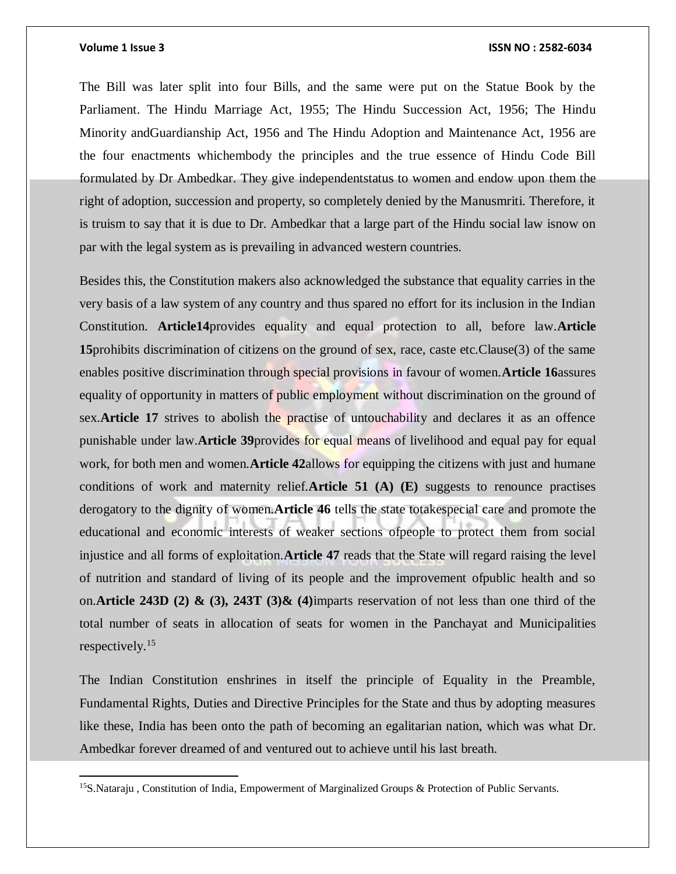$\overline{a}$ 

## **Volume 1 Issue 3 ISSN NO : 2582-6034**

The Bill was later split into four Bills, and the same were put on the Statue Book by the Parliament. The Hindu Marriage Act, 1955; The Hindu Succession Act, 1956; The Hindu Minority andGuardianship Act, 1956 and The Hindu Adoption and Maintenance Act, 1956 are the four enactments whichembody the principles and the true essence of Hindu Code Bill formulated by Dr Ambedkar. They give independentstatus to women and endow upon them the right of adoption, succession and property, so completely denied by the Manusmriti. Therefore, it is truism to say that it is due to Dr. Ambedkar that a large part of the Hindu social law isnow on par with the legal system as is prevailing in advanced western countries.

Besides this, the Constitution makers also acknowledged the substance that equality carries in the very basis of a law system of any country and thus spared no effort for its inclusion in the Indian Constitution. **Article14**provides equality and equal protection to all, before law.**Article 15**prohibits discrimination of citizens on the ground of sex, race, caste etc.Clause(3) of the same enables positive discrimination through special provisions in favour of women.**Article 16**assures equality of opportunity in matters of public employment without discrimination on the ground of sex.**Article 17** strives to abolish the practise of untouchability and declares it as an offence punishable under law.**Article 39**provides for equal means of livelihood and equal pay for equal work, for both men and women.**Article 42**allows for equipping the citizens with just and humane conditions of work and maternity relief.**Article 51 (A) (E)** suggests to renounce practises derogatory to the dignity of women.**Article 46** tells the state totakespecial care and promote the educational and economic interests of weaker sections ofpeople to protect them from social injustice and all forms of exploitation.**Article 47** reads that the State will regard raising the level of nutrition and standard of living of its people and the improvement ofpublic health and so on.**Article 243D (2) & (3), 243T (3)& (4)**imparts reservation of not less than one third of the total number of seats in allocation of seats for women in the Panchayat and Municipalities respectively.<sup>15</sup>

The Indian Constitution enshrines in itself the principle of Equality in the Preamble, Fundamental Rights, Duties and Directive Principles for the State and thus by adopting measures like these, India has been onto the path of becoming an egalitarian nation, which was what Dr. Ambedkar forever dreamed of and ventured out to achieve until his last breath.

<sup>&</sup>lt;sup>15</sup>S.Nataraju , Constitution of India, Empowerment of Marginalized Groups & Protection of Public Servants.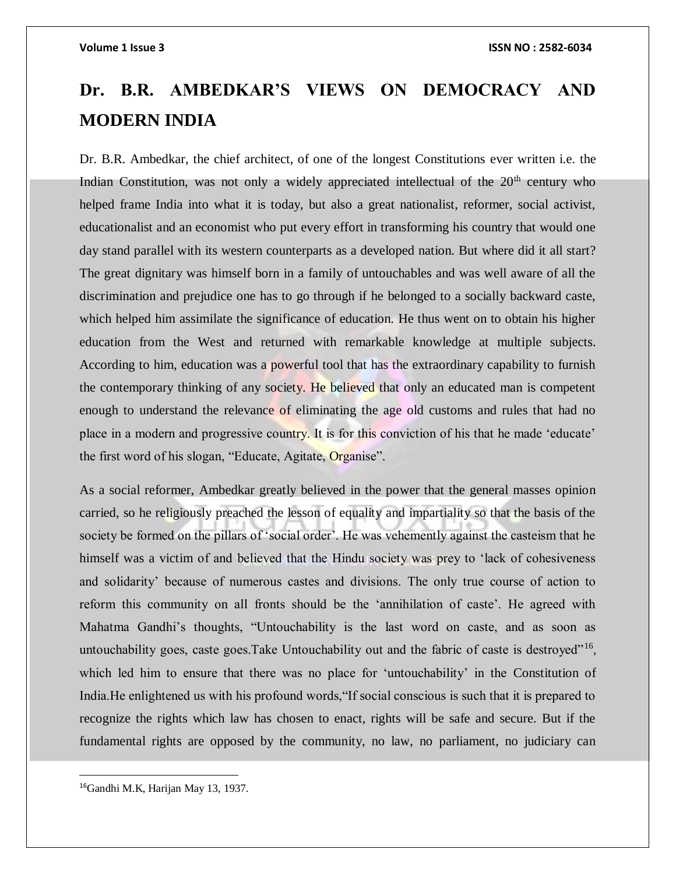# **Dr. B.R. AMBEDKAR'S VIEWS ON DEMOCRACY AND MODERN INDIA**

Dr. B.R. Ambedkar, the chief architect, of one of the longest Constitutions ever written i.e. the Indian Constitution, was not only a widely appreciated intellectual of the  $20<sup>th</sup>$  century who helped frame India into what it is today, but also a great nationalist, reformer, social activist, educationalist and an economist who put every effort in transforming his country that would one day stand parallel with its western counterparts as a developed nation. But where did it all start? The great dignitary was himself born in a family of untouchables and was well aware of all the discrimination and prejudice one has to go through if he belonged to a socially backward caste, which helped him assimilate the significance of education. He thus went on to obtain his higher education from the West and returned with remarkable knowledge at multiple subjects. According to him, education was a powerful tool that has the extraordinary capability to furnish the contemporary thinking of any society. He believed that only an educated man is competent enough to understand the relevance of eliminating the age old customs and rules that had no place in a modern and progressive country. It is for this conviction of his that he made 'educate' the first word of his slogan, "Educate, Agitate, Organise".

As a social reformer, Ambedkar greatly believed in the power that the general masses opinion carried, so he religiously preached the lesson of equality and impartiality so that the basis of the society be formed on the pillars of 'social order'. He was vehemently against the casteism that he himself was a victim of and believed that the Hindu society was prey to 'lack of cohesiveness and solidarity' because of numerous castes and divisions. The only true course of action to reform this community on all fronts should be the 'annihilation of caste'. He agreed with Mahatma Gandhi's thoughts, "Untouchability is the last word on caste, and as soon as untouchability goes, caste goes. Take Untouchability out and the fabric of caste is destroyed"<sup>16</sup>, which led him to ensure that there was no place for 'untouchability' in the Constitution of India.He enlightened us with his profound words,"If social conscious is such that it is prepared to recognize the rights which law has chosen to enact, rights will be safe and secure. But if the fundamental rights are opposed by the community, no law, no parliament, no judiciary can

 $\overline{a}$ 

<sup>&</sup>lt;sup>16</sup>Gandhi M.K, Harijan May 13, 1937.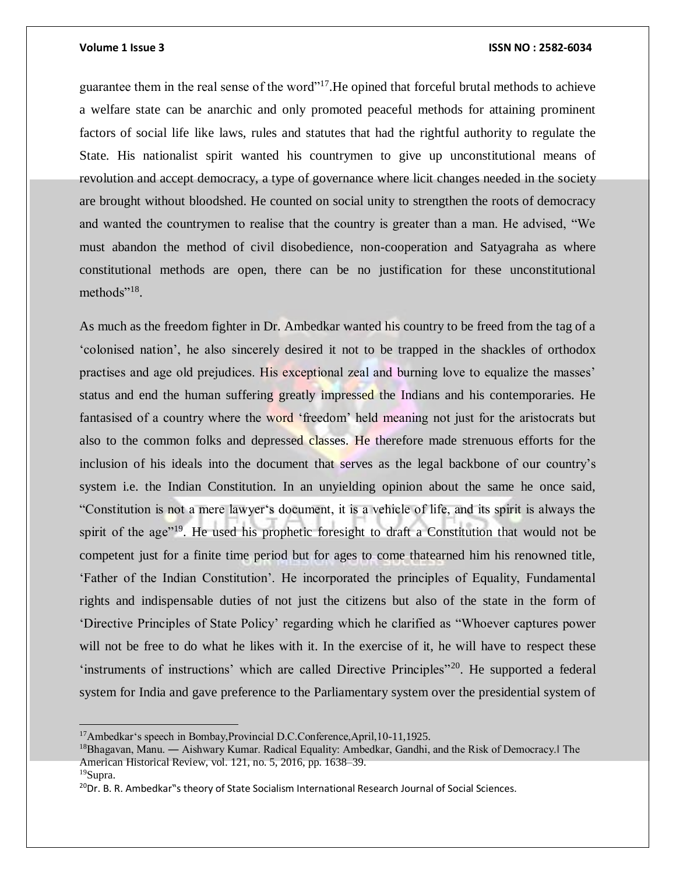guarantee them in the real sense of the word"<sup>17</sup>.He opined that forceful brutal methods to achieve a welfare state can be anarchic and only promoted peaceful methods for attaining prominent factors of social life like laws, rules and statutes that had the rightful authority to regulate the State. His nationalist spirit wanted his countrymen to give up unconstitutional means of revolution and accept democracy, a type of governance where licit changes needed in the society are brought without bloodshed. He counted on social unity to strengthen the roots of democracy and wanted the countrymen to realise that the country is greater than a man. He advised, "We must abandon the method of civil disobedience, non-cooperation and Satyagraha as where constitutional methods are open, there can be no justification for these unconstitutional methods"<sup>18</sup>.

As much as the freedom fighter in Dr. Ambedkar wanted his country to be freed from the tag of a 'colonised nation', he also sincerely desired it not to be trapped in the shackles of orthodox practises and age old prejudices. His exceptional zeal and burning love to equalize the masses' status and end the human suffering greatly impressed the Indians and his contemporaries. He fantasised of a country where the word 'freedom' held meaning not just for the aristocrats but also to the common folks and depressed classes. He therefore made strenuous efforts for the inclusion of his ideals into the document that serves as the legal backbone of our country's system i.e. the Indian Constitution. In an unyielding opinion about the same he once said, "Constitution is not a mere lawyer's document, it is a vehicle of life, and its spirit is always the spirit of the age"<sup>19</sup>. He used his prophetic foresight to draft a Constitution that would not be competent just for a finite time period but for ages to come thatearned him his renowned title, 'Father of the Indian Constitution'. He incorporated the principles of Equality, Fundamental rights and indispensable duties of not just the citizens but also of the state in the form of 'Directive Principles of State Policy' regarding which he clarified as "Whoever captures power will not be free to do what he likes with it. In the exercise of it, he will have to respect these 'instruments of instructions' which are called Directive Principles"<sup>20</sup>. He supported a federal system for India and gave preference to the Parliamentary system over the presidential system of

 $\overline{a}$ 

<sup>17</sup>Ambedkar's speech in Bombay,Provincial D.C.Conference,April,10-11,1925.

<sup>&</sup>lt;sup>18</sup>Bhagavan, Manu. — Aishwary Kumar. Radical Equality: Ambedkar, Gandhi, and the Risk of Democracy. The American Historical Review, vol. 121, no. 5, 2016, pp. 1638–39.

<sup>19</sup>Supra.

<sup>&</sup>lt;sup>20</sup>Dr. B. R. Ambedkar"s theory of State Socialism International Research Journal of Social Sciences.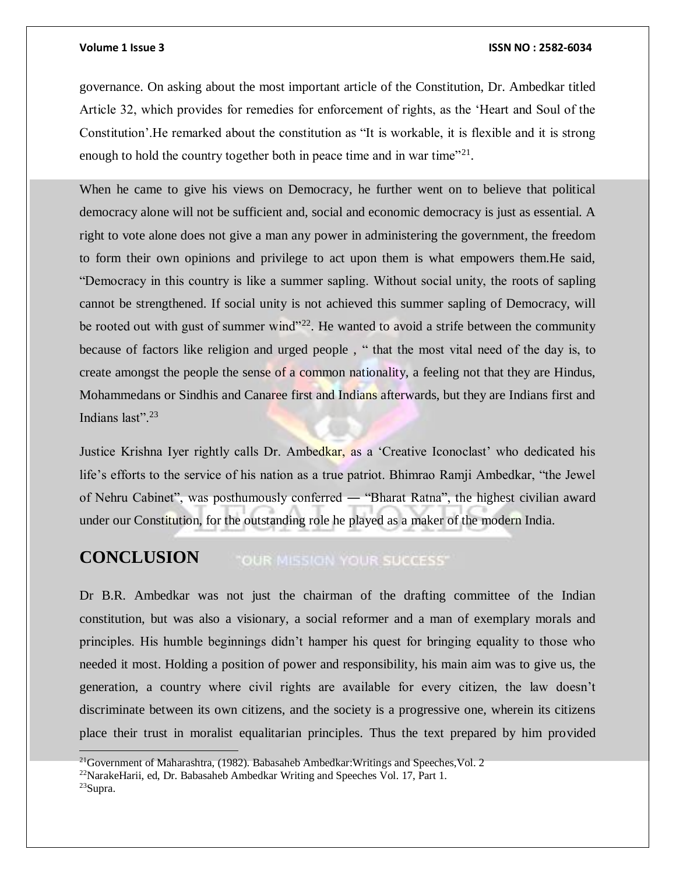governance. On asking about the most important article of the Constitution, Dr. Ambedkar titled Article 32, which provides for remedies for enforcement of rights, as the 'Heart and Soul of the Constitution'.He remarked about the constitution as "It is workable, it is flexible and it is strong enough to hold the country together both in peace time and in war time"<sup>21</sup>.

When he came to give his views on Democracy, he further went on to believe that political democracy alone will not be sufficient and, social and economic democracy is just as essential. A right to vote alone does not give a man any power in administering the government, the freedom to form their own opinions and privilege to act upon them is what empowers them.He said, "Democracy in this country is like a summer sapling. Without social unity, the roots of sapling cannot be strengthened. If social unity is not achieved this summer sapling of Democracy, will be rooted out with gust of summer wind $^{322}$ . He wanted to avoid a strife between the community because of factors like religion and urged people , " that the most vital need of the day is, to create amongst the people the sense of a common nationality, a feeling not that they are Hindus, Mohammedans or Sindhis and Canaree first and Indians afterwards, but they are Indians first and Indians last". $^{23}$ 

Justice Krishna Iyer rightly calls Dr. Ambedkar, as a 'Creative Iconoclast' who dedicated his life's efforts to the service of his nation as a true patriot. Bhimrao Ramji Ambedkar, "the Jewel of Nehru Cabinet", was posthumously conferred ― "Bharat Ratna", the highest civilian award under our Constitution, for the outstanding role he played as a maker of the modern India.

### **CONCLUSION** "OUR MISSION YOUR SUCCESS"

Dr B.R. Ambedkar was not just the chairman of the drafting committee of the Indian constitution, but was also a visionary, a social reformer and a man of exemplary morals and principles. His humble beginnings didn't hamper his quest for bringing equality to those who needed it most. Holding a position of power and responsibility, his main aim was to give us, the generation, a country where civil rights are available for every citizen, the law doesn't discriminate between its own citizens, and the society is a progressive one, wherein its citizens place their trust in moralist equalitarian principles. Thus the text prepared by him provided

<sup>&</sup>lt;sup>21</sup>Government of Maharashtra, (1982). Babasaheb Ambedkar: Writings and Speeches, Vol. 2

<sup>22</sup>NarakeHarii, ed, Dr. Babasaheb Ambedkar Writing and Speeches Vol. 17, Part 1.

<sup>23</sup>Supra.